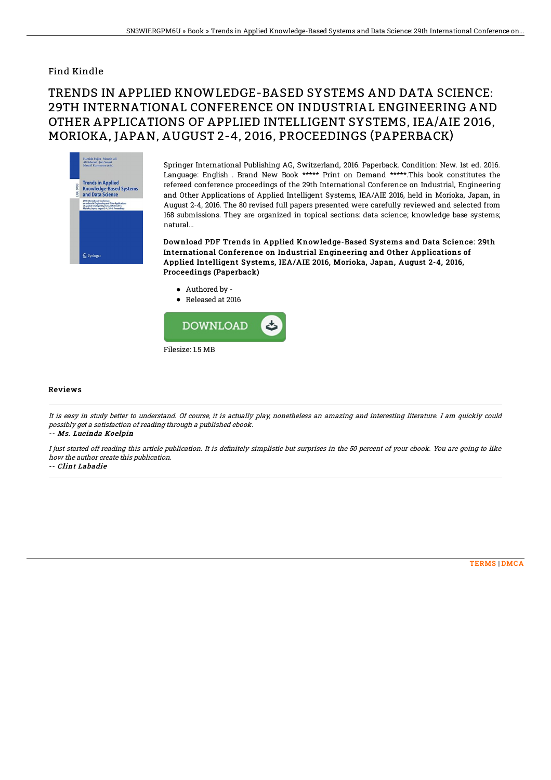## Find Kindle

## TRENDS IN APPLIED KNOWLEDGE-BASED SYSTEMS AND DATA SCIENCE: 29TH INTERNATIONAL CONFERENCE ON INDUSTRIAL ENGINEERING AND OTHER APPLICATIONS OF APPLIED INTELLIGENT SYSTEMS, IEA/AIE 2016, MORIOKA, JAPAN, AUGUST 2-4, 2016, PROCEEDINGS (PAPERBACK)



Springer International Publishing AG, Switzerland, 2016. Paperback. Condition: New. 1st ed. 2016. Language: English . Brand New Book \*\*\*\*\* Print on Demand \*\*\*\*\*.This book constitutes the refereed conference proceedings of the 29th International Conference on Industrial, Engineering and Other Applications of Applied Intelligent Systems, IEA/AIE 2016, held in Morioka, Japan, in August 2-4, 2016. The 80 revised full papers presented were carefully reviewed and selected from 168 submissions. They are organized in topical sections: data science; knowledge base systems; natural...

Download PDF Trends in Applied Knowledge-Based Systems and Data Science: 29th International Conference on Industrial Engineering and Other Applications of Applied Intelligent Systems, IEA/AIE 2016, Morioka, Japan, August 2-4, 2016, Proceedings (Paperback)

- Authored by -
- Released at 2016



## Reviews

It is easy in study better to understand. Of course, it is actually play, nonetheless an amazing and interesting literature. I am quickly could possibly get <sup>a</sup> satisfaction of reading through <sup>a</sup> published ebook.

-- Ms. Lucinda Koelpin

I just started off reading this article publication. It is definitely simplistic but surprises in the 50 percent of your ebook. You are going to like how the author create this publication.

-- Clint Labadie